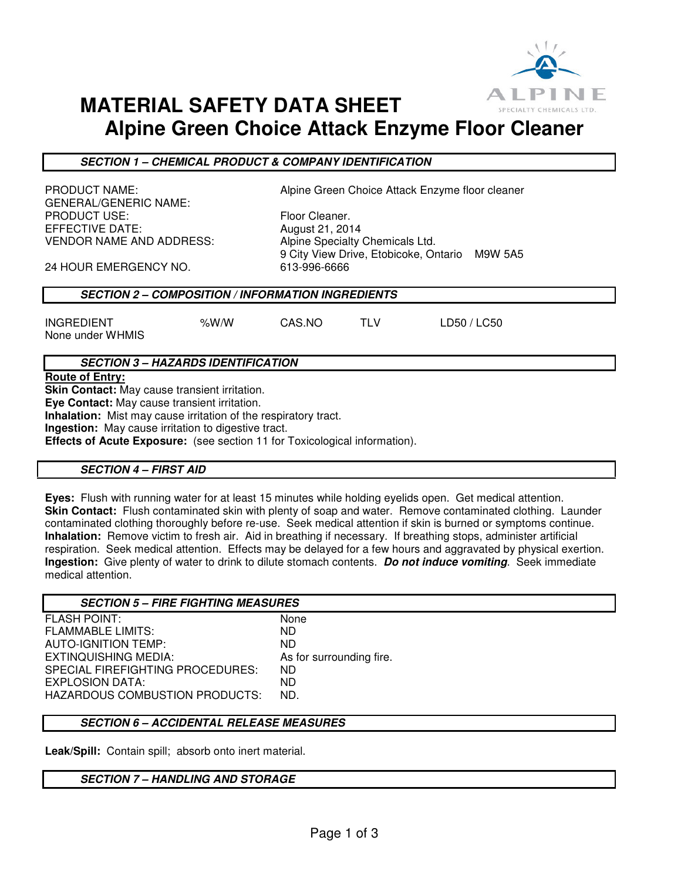

## **MATERIAL SAFETY DATA SHEET Alpine Green Choice Attack Enzyme Floor Cleaner**

**SECTION 1 – CHEMICAL PRODUCT & COMPANY IDENTIFICATION** 

GENERAL/GENERIC NAME: PRODUCT USE: Floor Cleaner. EFFECTIVE DATE: August 21, 2014 VENDOR NAME AND ADDRESS: Alpine Specialty Chemicals Ltd.

PRODUCT NAME: Alpine Green Choice Attack Enzyme floor cleaner

9 City View Drive, Etobicoke, Ontario M9W 5A5

24 HOUR EMERGENCY NO. 613-996-6666

## **SECTION 2 – COMPOSITION / INFORMATION INGREDIENTS**

INGREDIENT %W/W CAS.NO TLV LD50 / LC50 None under WHMIS

## **SECTION 3 – HAZARDS IDENTIFICATION**

**Route of Entry:** 

**Skin Contact:** May cause transient irritation.

**Eye Contact:** May cause transient irritation.

**Inhalation:** Mist may cause irritation of the respiratory tract.

**Ingestion:** May cause irritation to digestive tract.

**Effects of Acute Exposure:** (see section 11 for Toxicological information).

### **SECTION 4 – FIRST AID**

**Eyes:** Flush with running water for at least 15 minutes while holding eyelids open. Get medical attention. **Skin Contact:** Flush contaminated skin with plenty of soap and water. Remove contaminated clothing. Launder contaminated clothing thoroughly before re-use. Seek medical attention if skin is burned or symptoms continue. **Inhalation:** Remove victim to fresh air. Aid in breathing if necessary. If breathing stops, administer artificial respiration. Seek medical attention. Effects may be delayed for a few hours and aggravated by physical exertion. **Ingestion:** Give plenty of water to drink to dilute stomach contents. **Do not induce vomiting**. Seek immediate medical attention.

| <b>SECTION 5 - FIRE FIGHTING MEASURES</b> |                          |
|-------------------------------------------|--------------------------|
| <b>FLASH POINT:</b>                       | None                     |
| <b>FLAMMABLE LIMITS:</b>                  | ND.                      |
| AUTO-IGNITION TEMP:                       | ND.                      |
| EXTINQUISHING MEDIA:                      | As for surrounding fire. |
| SPECIAL FIREFIGHTING PROCEDURES:          | ND.                      |
| EXPLOSION DATA:                           | ND.                      |
| <b>HAZARDOUS COMBUSTION PRODUCTS:</b>     | ND.                      |
|                                           |                          |

## **SECTION 6 – ACCIDENTAL RELEASE MEASURES**

**Leak/Spill:** Contain spill; absorb onto inert material.

### **SECTION 7 – HANDLING AND STORAGE**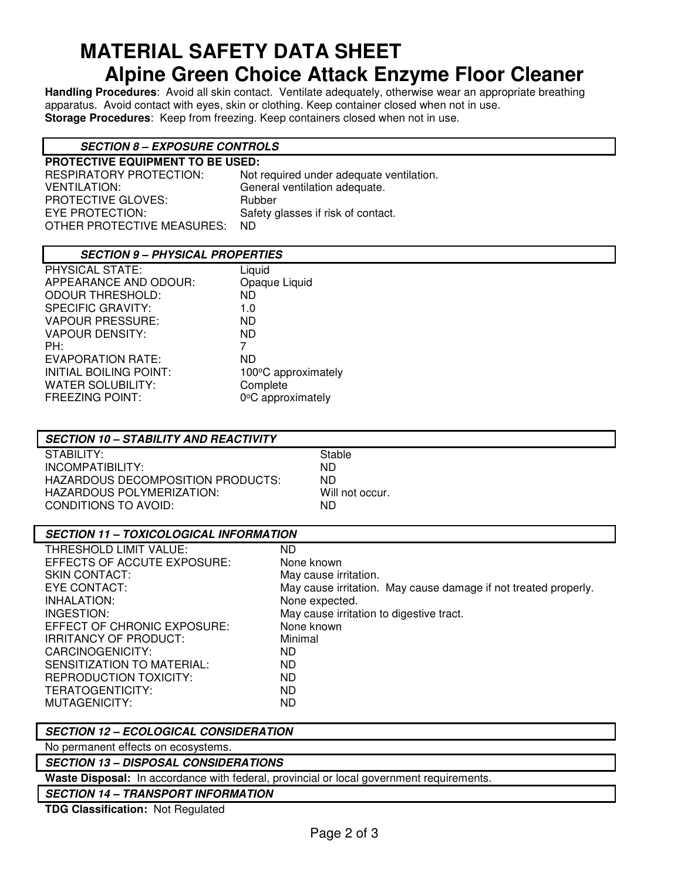# **MATERIAL SAFETY DATA SHEET Alpine Green Choice Attack Enzyme Floor Cleaner**

**Handling Procedures**: Avoid all skin contact. Ventilate adequately, otherwise wear an appropriate breathing apparatus. Avoid contact with eyes, skin or clothing. Keep container closed when not in use. **Storage Procedures**: Keep from freezing. Keep containers closed when not in use.

## **SECTION 8 – EXPOSURE CONTROLS**

| <b>PROTECTIVE EQUIPMENT TO BE USED:</b> |                                          |  |
|-----------------------------------------|------------------------------------------|--|
| RESPIRATORY PROTECTION:                 | Not required under adequate ventilation. |  |
| <b>VENTILATION:</b>                     | General ventilation adequate.            |  |
| <b>PROTECTIVE GLOVES:</b>               | Rubber                                   |  |
| EYE PROTECTION:                         | Safety glasses if risk of contact.       |  |
| OTHER PROTECTIVE MEASURES:              | ND.                                      |  |
|                                         |                                          |  |

## **SECTION 9 – PHYSICAL PROPERTIES**

| PHYSICAL STATE:               | Liquid              |
|-------------------------------|---------------------|
| APPEARANCE AND ODOUR:         | Opaque Liquid       |
| <b>ODOUR THRESHOLD:</b>       | ND.                 |
| <b>SPECIFIC GRAVITY:</b>      | 1.0                 |
| <b>VAPOUR PRESSURE:</b>       | ND.                 |
| <b>VAPOUR DENSITY:</b>        | ND.                 |
| PH:                           | 7                   |
| EVAPORATION RATE:             | ND                  |
| <b>INITIAL BOILING POINT:</b> | 100°C approximately |
| <b>WATER SOLUBILITY:</b>      | Complete            |
| <b>FREEZING POINT:</b>        | 0°C approximately   |
|                               |                     |

## **SECTION 10 – STABILITY AND REACTIVITY**

STABILITY: STABILITY: INCOMPATIBILITY: ND HAZARDOUS DECOMPOSITION PRODUCTS: ND HAZARDOUS POLYMERIZATION: Will not occur. CONDITIONS TO AVOID: ND

## **SECTION 11 – TOXICOLOGICAL INFORMATION**

| THRESHOLD LIMIT VALUE:       | ND.                                                             |
|------------------------------|-----------------------------------------------------------------|
| EFFECTS OF ACCUTE EXPOSURE:  | None known                                                      |
| <b>SKIN CONTACT:</b>         | May cause irritation.                                           |
| EYE CONTACT:                 | May cause irritation. May cause damage if not treated properly. |
| INHALATION:                  | None expected.                                                  |
| INGESTION:                   | May cause irritation to digestive tract.                        |
| EFFECT OF CHRONIC EXPOSURE:  | None known                                                      |
| <b>IRRITANCY OF PRODUCT:</b> | Minimal                                                         |
| CARCINOGENICITY:             | ND.                                                             |
| SENSITIZATION TO MATERIAL:   | ND.                                                             |
| REPRODUCTION TOXICITY:       | ND.                                                             |
| TERATOGENTICITY:             | ND.                                                             |
| MUTAGENICITY:                | ND.                                                             |
|                              |                                                                 |

### **SECTION 12 – ECOLOGICAL CONSIDERATION**

No permanent effects on ecosystems.

### **SECTION 13 – DISPOSAL CONSIDERATIONS**

**Waste Disposal:** In accordance with federal, provincial or local government requirements.

**SECTION 14 – TRANSPORT INFORMATION**

**TDG Classification:** Not Regulated